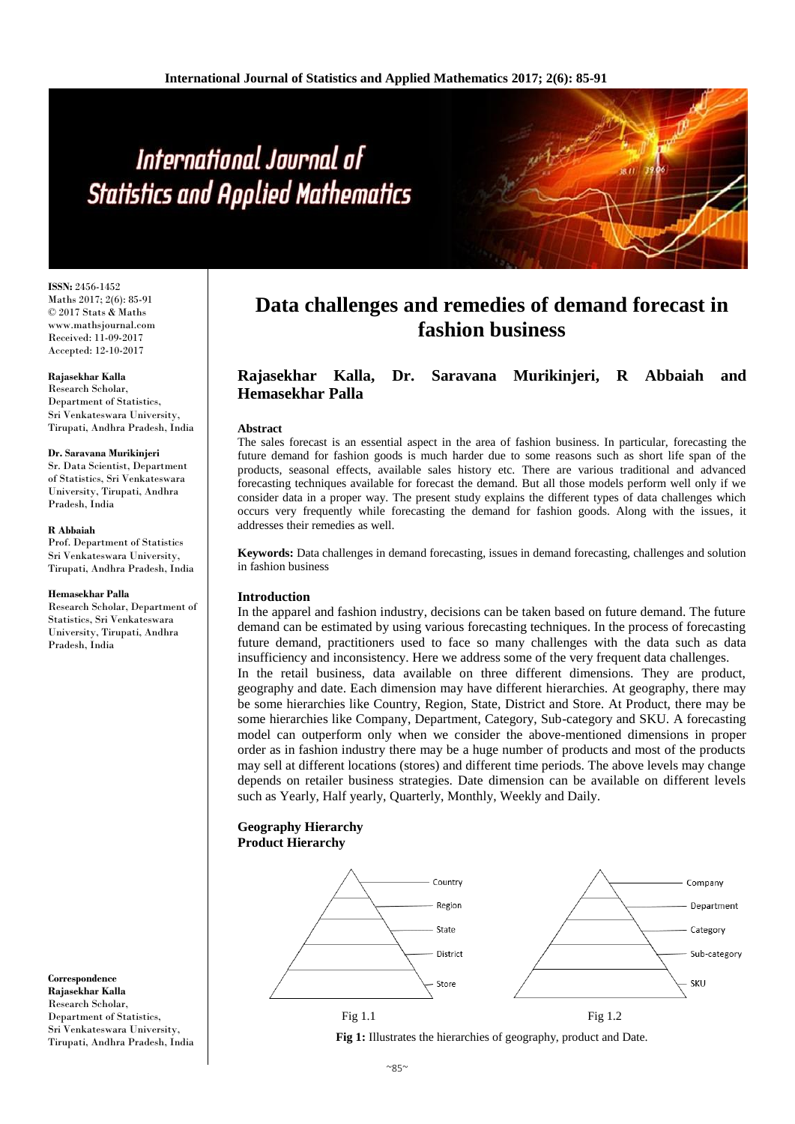# International Journal of **Statistics and Applied Mathematics**

**ISSN:** 2456-1452 Maths 2017; 2(6): 85-91 © 2017 Stats & Maths www.mathsjournal.com Received: 11-09-2017 Accepted: 12-10-2017

# **Rajasekhar Kalla**

Research Scholar, Department of Statistics, Sri Venkateswara University, Tirupati, Andhra Pradesh, India

#### **Dr. Saravana Murikinjeri**

Sr. Data Scientist, Department of Statistics, Sri Venkateswara University, Tirupati, Andhra Pradesh, India

#### **R Abbaiah**

Prof. Department of Statistics Sri Venkateswara University, Tirupati, Andhra Pradesh, India

#### **Hemasekhar Palla**

Research Scholar, Department of Statistics, Sri Venkateswara University, Tirupati, Andhra Pradesh, India

**Correspondence Rajasekhar Kalla** Research Scholar, Department of Statistics, Sri Venkateswara University, Tirupati, Andhra Pradesh, India

# **Data challenges and remedies of demand forecast in fashion business**

# **Rajasekhar Kalla, Dr. Saravana Murikinjeri, R Abbaiah and Hemasekhar Palla**

# **Abstract**

The sales forecast is an essential aspect in the area of fashion business. In particular, forecasting the future demand for fashion goods is much harder due to some reasons such as short life span of the products, seasonal effects, available sales history etc. There are various traditional and advanced forecasting techniques available for forecast the demand. But all those models perform well only if we consider data in a proper way. The present study explains the different types of data challenges which occurs very frequently while forecasting the demand for fashion goods. Along with the issues, it addresses their remedies as well.

**Keywords:** Data challenges in demand forecasting, issues in demand forecasting, challenges and solution in fashion business

# **Introduction**

In the apparel and fashion industry, decisions can be taken based on future demand. The future demand can be estimated by using various forecasting techniques. In the process of forecasting future demand, practitioners used to face so many challenges with the data such as data insufficiency and inconsistency. Here we address some of the very frequent data challenges. In the retail business, data available on three different dimensions. They are product, geography and date. Each dimension may have different hierarchies. At geography, there may be some hierarchies like Country, Region, State, District and Store. At Product, there may be some hierarchies like Company, Department, Category, Sub-category and SKU. A forecasting model can outperform only when we consider the above-mentioned dimensions in proper order as in fashion industry there may be a huge number of products and most of the products may sell at different locations (stores) and different time periods. The above levels may change depends on retailer business strategies. Date dimension can be available on different levels such as Yearly, Half yearly, Quarterly, Monthly, Weekly and Daily.

# **Geography Hierarchy Product Hierarchy**



**Fig 1:** Illustrates the hierarchies of geography, product and Date.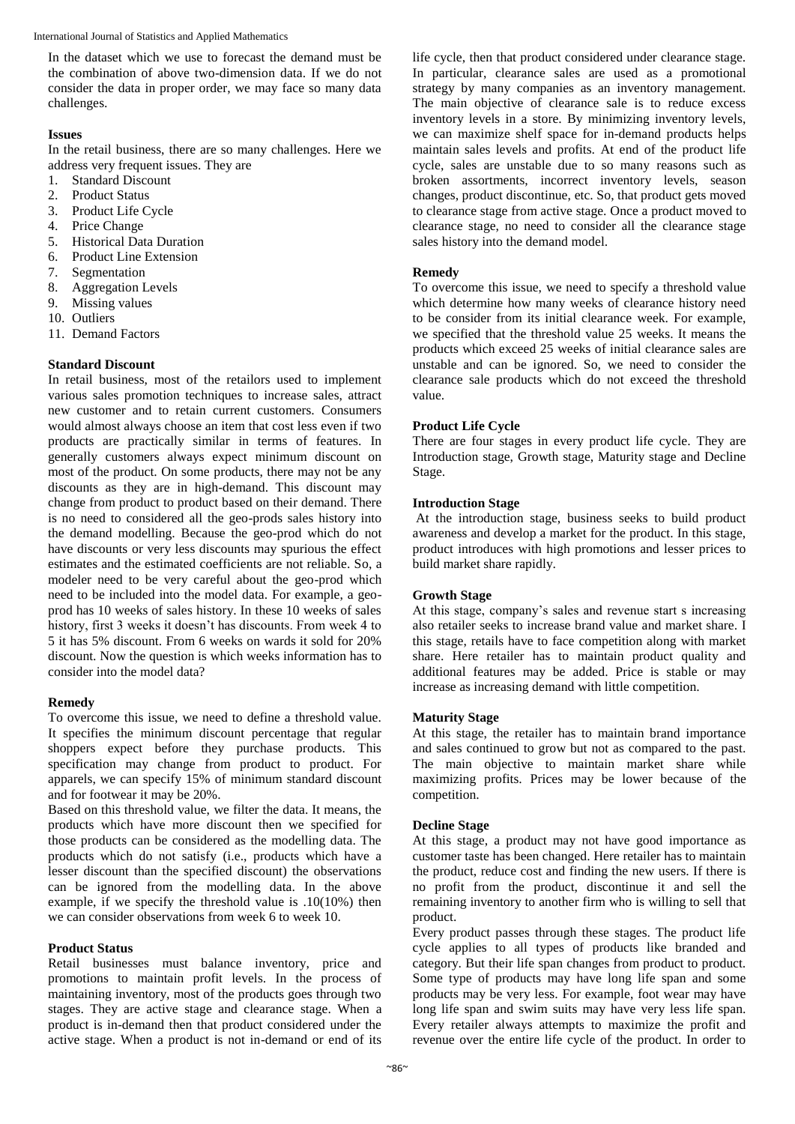In the dataset which we use to forecast the demand must be the combination of above two-dimension data. If we do not consider the data in proper order, we may face so many data challenges.

# **Issues**

In the retail business, there are so many challenges. Here we address very frequent issues. They are

- 1. Standard Discount
- 2. Product Status
- 3. Product Life Cycle
- 4. Price Change
- 5. Historical Data Duration
- 6. Product Line Extension
- 7. Segmentation
- 8. Aggregation Levels
- 9. Missing values
- 10. Outliers
- 11. Demand Factors

# **Standard Discount**

In retail business, most of the retailors used to implement various sales promotion techniques to increase sales, attract new customer and to retain current customers. Consumers would almost always choose an item that cost less even if two products are practically similar in terms of features. In generally customers always expect minimum discount on most of the product. On some products, there may not be any discounts as they are in high-demand. This discount may change from product to product based on their demand. There is no need to considered all the geo-prods sales history into the demand modelling. Because the geo-prod which do not have discounts or very less discounts may spurious the effect estimates and the estimated coefficients are not reliable. So, a modeler need to be very careful about the geo-prod which need to be included into the model data. For example, a geoprod has 10 weeks of sales history. In these 10 weeks of sales history, first 3 weeks it doesn't has discounts. From week 4 to 5 it has 5% discount. From 6 weeks on wards it sold for 20% discount. Now the question is which weeks information has to consider into the model data?

# **Remedy**

To overcome this issue, we need to define a threshold value. It specifies the minimum discount percentage that regular shoppers expect before they purchase products. This specification may change from product to product. For apparels, we can specify 15% of minimum standard discount and for footwear it may be 20%.

Based on this threshold value, we filter the data. It means, the products which have more discount then we specified for those products can be considered as the modelling data. The products which do not satisfy (i.e., products which have a lesser discount than the specified discount) the observations can be ignored from the modelling data. In the above example, if we specify the threshold value is .10(10%) then we can consider observations from week 6 to week 10.

# **Product Status**

Retail businesses must balance inventory, price and promotions to maintain profit levels. In the process of maintaining inventory, most of the products goes through two stages. They are active stage and clearance stage. When a product is in-demand then that product considered under the active stage. When a product is not in-demand or end of its

life cycle, then that product considered under clearance stage. In particular, clearance sales are used as a promotional strategy by many companies as an inventory management. The main objective of clearance sale is to reduce excess inventory levels in a store. By minimizing inventory levels, we can maximize shelf space for in-demand products helps maintain sales levels and profits. At end of the product life cycle, sales are unstable due to so many reasons such as broken assortments, incorrect inventory levels, season changes, product discontinue, etc. So, that product gets moved to clearance stage from active stage. Once a product moved to clearance stage, no need to consider all the clearance stage sales history into the demand model.

## **Remedy**

To overcome this issue, we need to specify a threshold value which determine how many weeks of clearance history need to be consider from its initial clearance week. For example, we specified that the threshold value 25 weeks. It means the products which exceed 25 weeks of initial clearance sales are unstable and can be ignored. So, we need to consider the clearance sale products which do not exceed the threshold value.

#### **Product Life Cycle**

There are four stages in every product life cycle. They are Introduction stage, Growth stage, Maturity stage and Decline Stage.

# **Introduction Stage**

At the introduction stage, business seeks to build product awareness and develop a market for the product. In this stage, product introduces with high promotions and lesser prices to build market share rapidly.

# **Growth Stage**

At this stage, company's sales and revenue start s increasing also retailer seeks to increase brand value and market share. I this stage, retails have to face competition along with market share. Here retailer has to maintain product quality and additional features may be added. Price is stable or may increase as increasing demand with little competition.

#### **Maturity Stage**

At this stage, the retailer has to maintain brand importance and sales continued to grow but not as compared to the past. The main objective to maintain market share while maximizing profits. Prices may be lower because of the competition.

# **Decline Stage**

At this stage, a product may not have good importance as customer taste has been changed. Here retailer has to maintain the product, reduce cost and finding the new users. If there is no profit from the product, discontinue it and sell the remaining inventory to another firm who is willing to sell that product.

Every product passes through these stages. The product life cycle applies to all types of products like branded and category. But their life span changes from product to product. Some type of products may have long life span and some products may be very less. For example, foot wear may have long life span and swim suits may have very less life span. Every retailer always attempts to maximize the profit and revenue over the entire life cycle of the product. In order to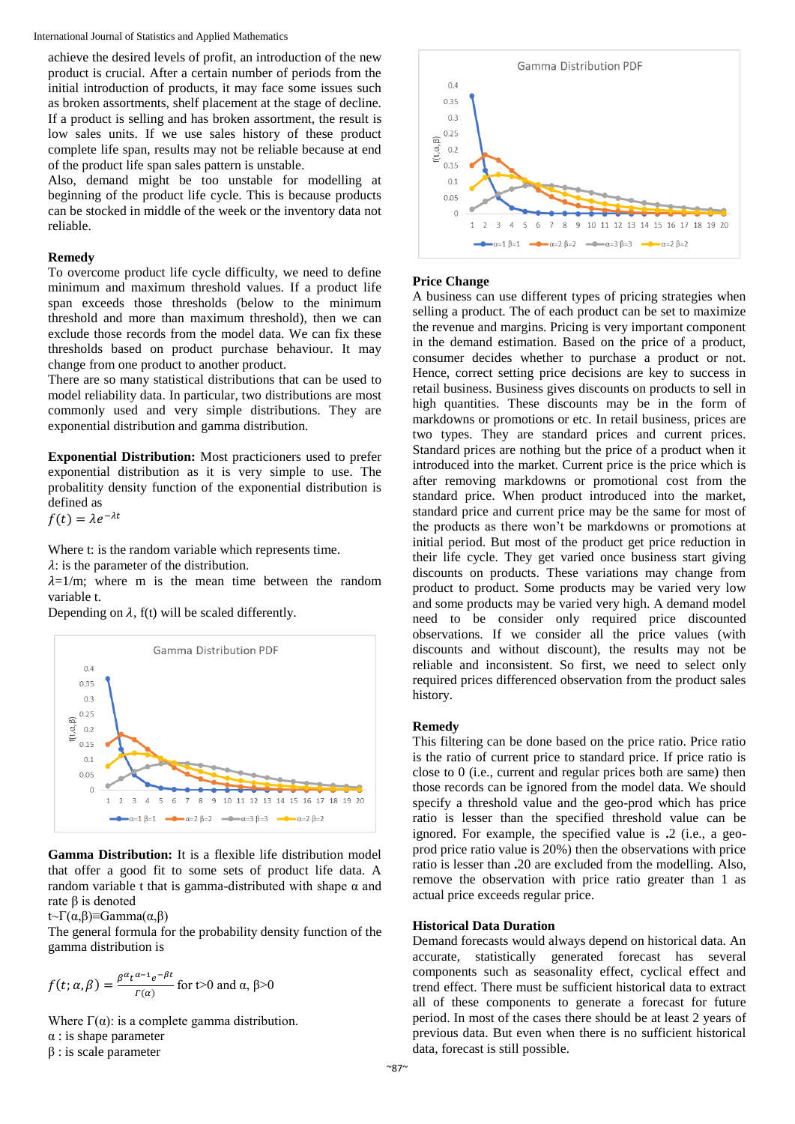International Journal of Statistics and Applied Mathematics

achieve the desired levels of profit, an introduction of the new product is crucial. After a certain number of periods from the initial introduction of products, it may face some issues such as broken assortments, shelf placement at the stage of decline. If a product is selling and has broken assortment, the result is low sales units. If we use sales history of these product complete life span, results may not be reliable because at end of the product life span sales pattern is unstable.

Also, demand might be too unstable for modelling at beginning of the product life cycle. This is because products can be stocked in middle of the week or the inventory data not reliable.

# **Remedy**

To overcome product life cycle difficulty, we need to define minimum and maximum threshold values. If a product life span exceeds those thresholds (below to the minimum threshold and more than maximum threshold), then we can exclude those records from the model data. We can fix these thresholds based on product purchase behaviour. It may change from one product to another product.

There are so many statistical distributions that can be used to model reliability data. In particular, two distributions are most commonly used and very simple distributions. They are exponential distribution and gamma distribution.

**Exponential Distribution:** Most practicioners used to prefer exponential distribution as it is very simple to use. The probalitity density function of the exponential distribution is defined as

 $f(t) = \lambda e^{-\lambda t}$ 

Where t: is the random variable which represents time.

 $\lambda$ : is the parameter of the distribution.

 $\lambda=1/m$ ; where m is the mean time between the random variable t.

Depending on  $\lambda$ , f(t) will be scaled differently.



**Gamma Distribution:** It is a flexible life distribution model that offer a good fit to some sets of product life data. A random variable t that is gamma-distributed with shape α and rate β is denoted

t~Γ(α,β)≡Gamma(α,β)

The general formula for the probability density function of the gamma distribution is

$$
f(t; \alpha, \beta) = \frac{\beta^{\alpha} t^{\alpha - 1} e^{-\beta t}}{r(\alpha)}
$$
 for t>0 and  $\alpha, \beta > 0$ 

Where  $\Gamma(\alpha)$ : is a complete gamma distribution.

- α : is shape parameter
- β : is scale parameter



# **Price Change**

A business can use different types of pricing strategies when selling a product. The of each product can be set to maximize the revenue and margins. Pricing is very important component in the demand estimation. Based on the price of a product, consumer decides whether to purchase a product or not. Hence, correct setting price decisions are key to success in retail business. Business gives discounts on products to sell in high quantities. These discounts may be in the form of markdowns or promotions or etc. In retail business, prices are two types. They are standard prices and current prices. Standard prices are nothing but the price of a product when it introduced into the market. Current price is the price which is after removing markdowns or promotional cost from the standard price. When product introduced into the market, standard price and current price may be the same for most of the products as there won't be markdowns or promotions at initial period. But most of the product get price reduction in their life cycle. They get varied once business start giving discounts on products. These variations may change from product to product. Some products may be varied very low and some products may be varied very high. A demand model need to be consider only required price discounted observations. If we consider all the price values (with discounts and without discount), the results may not be reliable and inconsistent. So first, we need to select only required prices differenced observation from the product sales history.

# **Remedy**

This filtering can be done based on the price ratio. Price ratio is the ratio of current price to standard price. If price ratio is close to 0 (i.e., current and regular prices both are same) then those records can be ignored from the model data. We should specify a threshold value and the geo-prod which has price ratio is lesser than the specified threshold value can be ignored. For example, the specified value is **.**2 (i.e., a geoprod price ratio value is 20%) then the observations with price ratio is lesser than **.**20 are excluded from the modelling. Also, remove the observation with price ratio greater than 1 as actual price exceeds regular price.

# **Historical Data Duration**

Demand forecasts would always depend on historical data. An accurate, statistically generated forecast has several components such as seasonality effect, cyclical effect and trend effect. There must be sufficient historical data to extract all of these components to generate a forecast for future period. In most of the cases there should be at least 2 years of previous data. But even when there is no sufficient historical data, forecast is still possible.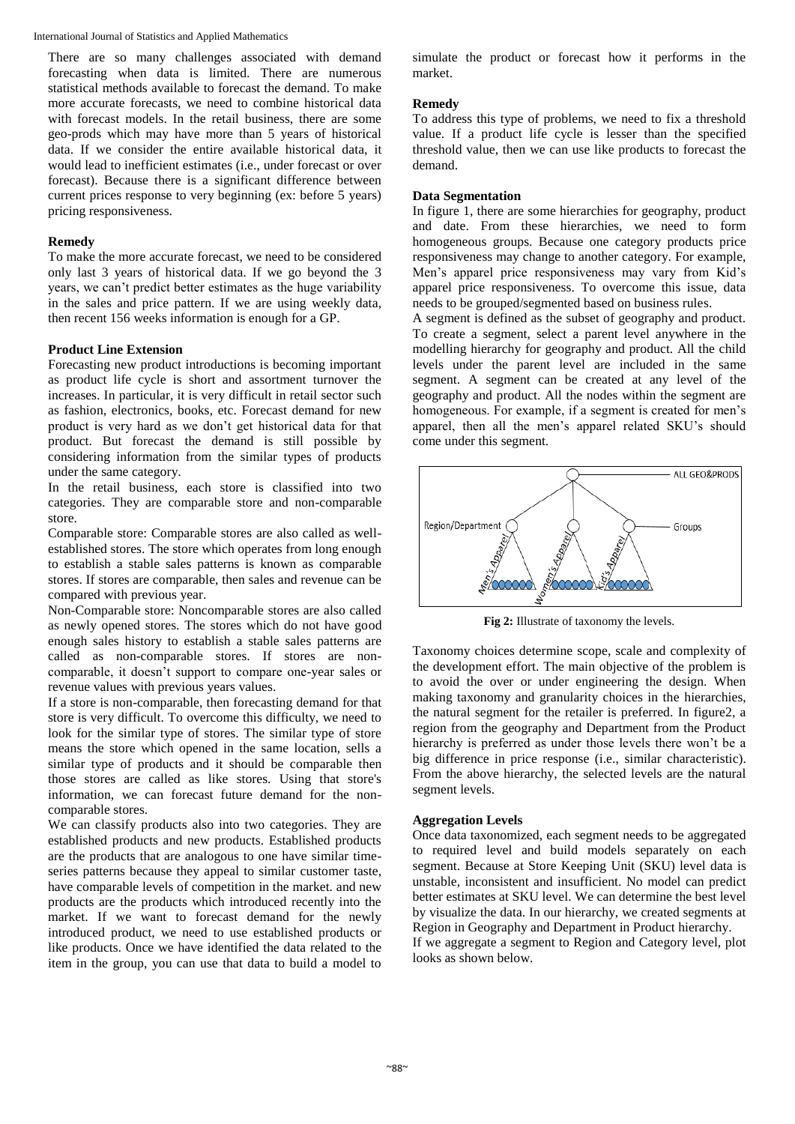International Journal of Statistics and Applied Mathematics

There are so many challenges associated with demand forecasting when data is limited. There are numerous statistical methods available to forecast the demand. To make more accurate forecasts, we need to combine historical data with forecast models. In the retail business, there are some geo-prods which may have more than 5 years of historical data. If we consider the entire available historical data, it would lead to inefficient estimates (i.e., under forecast or over forecast). Because there is a significant difference between current prices response to very beginning (ex: before 5 years) pricing responsiveness.

# **Remedy**

To make the more accurate forecast, we need to be considered only last 3 years of historical data. If we go beyond the 3 years, we can't predict better estimates as the huge variability in the sales and price pattern. If we are using weekly data, then recent 156 weeks information is enough for a GP.

# **Product Line Extension**

Forecasting new product introductions is becoming important as product life cycle is short and assortment turnover the increases. In particular, it is very difficult in retail sector such as fashion, electronics, books, etc. Forecast demand for new product is very hard as we don't get historical data for that product. But forecast the demand is still possible by considering information from the similar types of products under the same category.

In the retail business, each store is classified into two categories. They are comparable store and non-comparable store.

Comparable store: Comparable stores are also called as wellestablished stores. The store which operates from long enough to establish a stable sales patterns is known as comparable stores. If stores are comparable, then sales and revenue can be compared with previous year.

Non-Comparable store: Noncomparable stores are also called as newly opened stores. The stores which do not have good enough sales history to establish a stable sales patterns are called as non-comparable stores. If stores are noncomparable, it doesn't support to compare one-year sales or revenue values with previous years values.

If a store is non-comparable, then forecasting demand for that store is very difficult. To overcome this difficulty, we need to look for the similar type of stores. The similar type of store means the store which opened in the same location, sells a similar type of products and it should be comparable then those stores are called as like stores. Using that store's information, we can forecast future demand for the noncomparable stores.

We can classify products also into two categories. They are established products and new products. Established products are the products that are analogous to one have similar timeseries patterns because they appeal to similar customer taste, have comparable levels of competition in the market. and new products are the products which introduced recently into the market. If we want to forecast demand for the newly introduced product, we need to use established products or like products. Once we have identified the data related to the item in the group, you can use that data to build a model to

simulate the product or forecast how it performs in the market.

# **Remedy**

To address this type of problems, we need to fix a threshold value. If a product life cycle is lesser than the specified threshold value, then we can use like products to forecast the demand.

# **Data Segmentation**

In figure 1, there are some hierarchies for geography, product and date. From these hierarchies, we need to form homogeneous groups. Because one category products price responsiveness may change to another category. For example, Men's apparel price responsiveness may vary from Kid's apparel price responsiveness. To overcome this issue, data needs to be grouped/segmented based on business rules.

A segment is defined as the subset of geography and product. To create a segment, select a parent level anywhere in the modelling hierarchy for geography and product. All the child levels under the parent level are included in the same segment. A segment can be created at any level of the geography and product. All the nodes within the segment are homogeneous. For example, if a segment is created for men's apparel, then all the men's apparel related SKU's should come under this segment.



**Fig 2:** Illustrate of taxonomy the levels.

Taxonomy choices determine scope, scale and complexity of the development effort. The main objective of the problem is to avoid the over or under engineering the design. When making taxonomy and granularity choices in the hierarchies, the natural segment for the retailer is preferred. In figure2, a region from the geography and Department from the Product hierarchy is preferred as under those levels there won't be a big difference in price response (i.e., similar characteristic). From the above hierarchy, the selected levels are the natural segment levels.

# **Aggregation Levels**

Once data taxonomized, each segment needs to be aggregated to required level and build models separately on each segment. Because at Store Keeping Unit (SKU) level data is unstable, inconsistent and insufficient. No model can predict better estimates at SKU level. We can determine the best level by visualize the data. In our hierarchy, we created segments at Region in Geography and Department in Product hierarchy. If we aggregate a segment to Region and Category level, plot looks as shown below.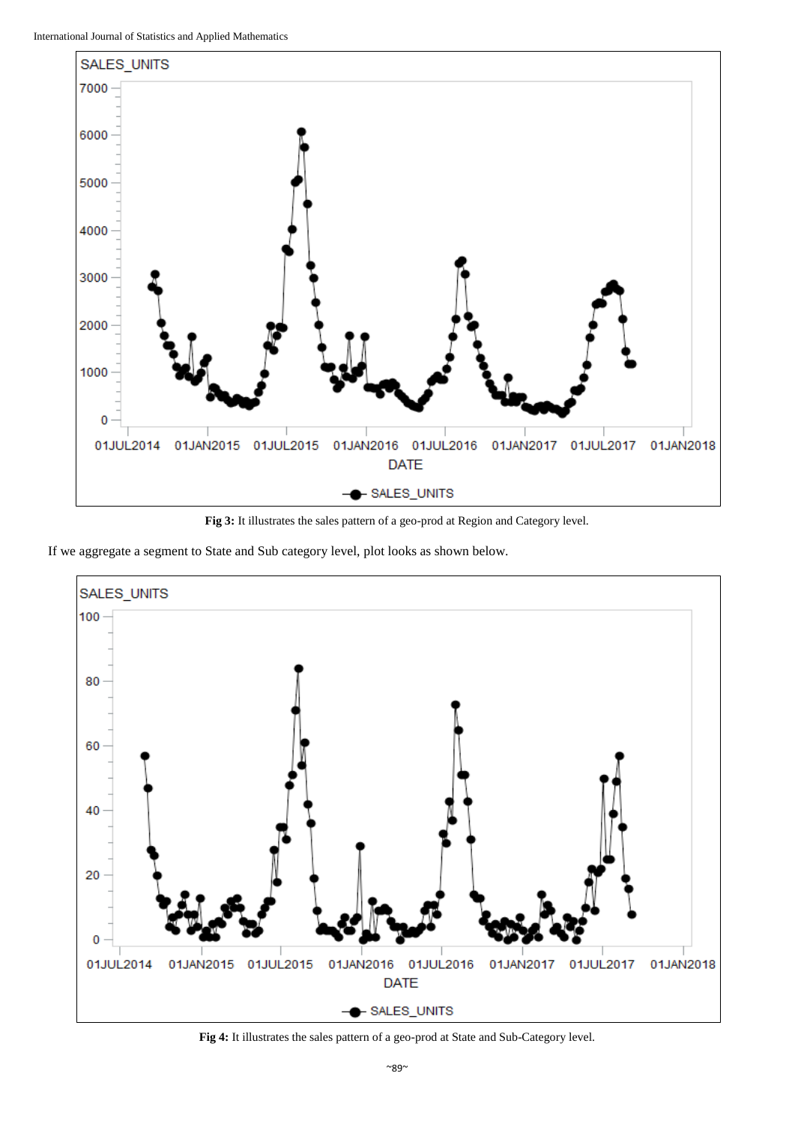

**Fig 3:** It illustrates the sales pattern of a geo-prod at Region and Category level.

If we aggregate a segment to State and Sub category level, plot looks as shown below.



**Fig 4:** It illustrates the sales pattern of a geo-prod at State and Sub-Category level.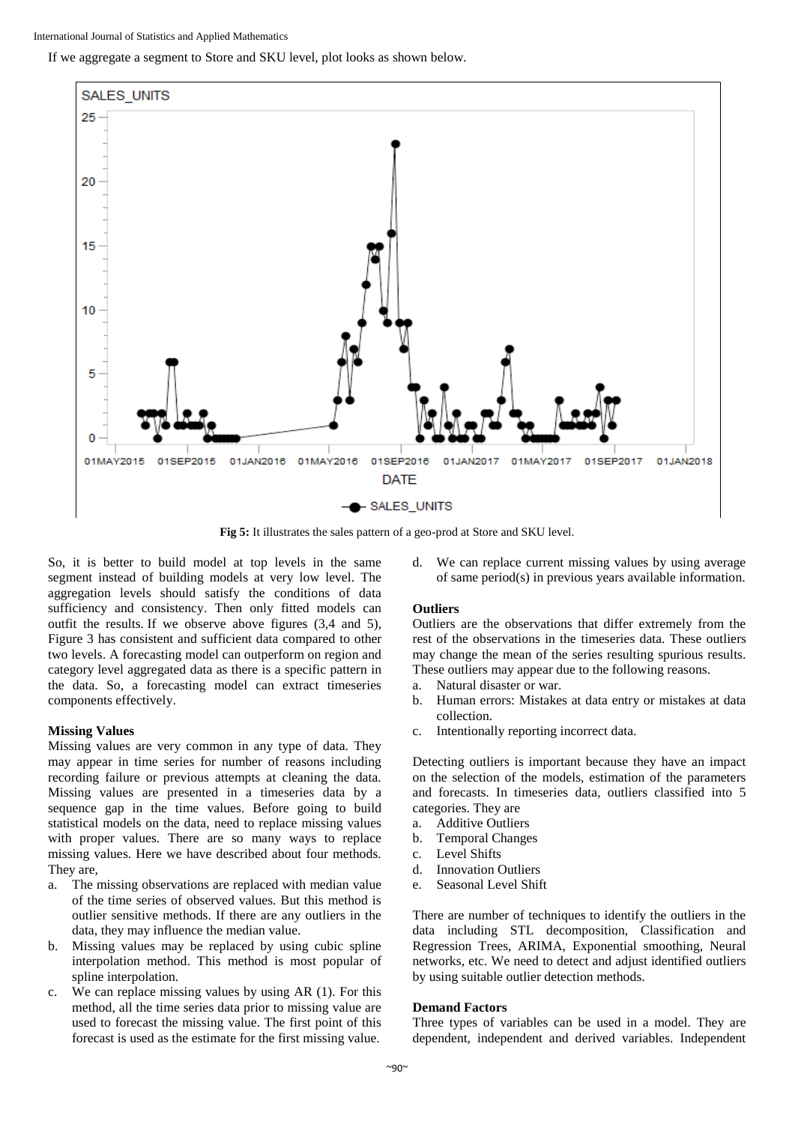If we aggregate a segment to Store and SKU level, plot looks as shown below.



**Fig 5:** It illustrates the sales pattern of a geo-prod at Store and SKU level.

So, it is better to build model at top levels in the same segment instead of building models at very low level. The aggregation levels should satisfy the conditions of data sufficiency and consistency. Then only fitted models can outfit the results. If we observe above figures (3,4 and 5), Figure 3 has consistent and sufficient data compared to other two levels. A forecasting model can outperform on region and category level aggregated data as there is a specific pattern in the data. So, a forecasting model can extract timeseries components effectively.

# **Missing Values**

Missing values are very common in any type of data. They may appear in time series for number of reasons including recording failure or previous attempts at cleaning the data. Missing values are presented in a timeseries data by a sequence gap in the time values. Before going to build statistical models on the data, need to replace missing values with proper values. There are so many ways to replace missing values. Here we have described about four methods. They are,

- a. The missing observations are replaced with median value of the time series of observed values. But this method is outlier sensitive methods. If there are any outliers in the data, they may influence the median value.
- b. Missing values may be replaced by using cubic spline interpolation method. This method is most popular of spline interpolation.
- c. We can replace missing values by using AR (1). For this method, all the time series data prior to missing value are used to forecast the missing value. The first point of this forecast is used as the estimate for the first missing value.

d. We can replace current missing values by using average of same period(s) in previous years available information.

# **Outliers**

Outliers are the observations that differ extremely from the rest of the observations in the timeseries data. These outliers may change the mean of the series resulting spurious results. These outliers may appear due to the following reasons.

- a. Natural disaster or war.
- b. Human errors: Mistakes at data entry or mistakes at data collection.
- c. Intentionally reporting incorrect data.

Detecting outliers is important because they have an impact on the selection of the models, estimation of the parameters and forecasts. In timeseries data, outliers classified into 5 categories. They are

- a. Additive Outliers
- b. Temporal Changes
- c. Level Shifts
- d. Innovation Outliers
- Seasonal Level Shift

There are number of techniques to identify the outliers in the data including STL decomposition, Classification and Regression Trees, ARIMA, Exponential smoothing, Neural networks, etc. We need to detect and adjust identified outliers by using suitable outlier detection methods.

# **Demand Factors**

Three types of variables can be used in a model. They are dependent, independent and derived variables. Independent